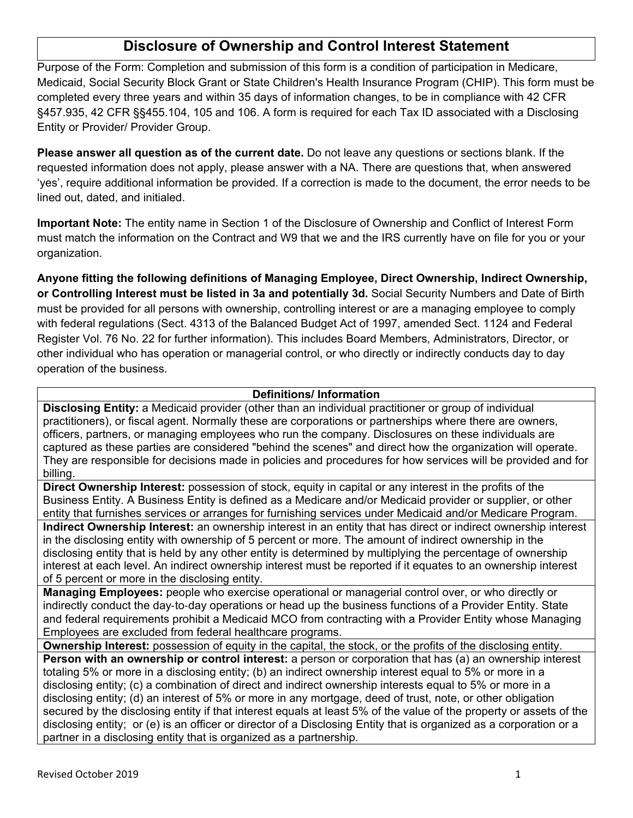Purpose of the Form: Completion and submission of this form is a condition of participation in Medicare, Medicaid, Social Security Block Grant or State Children's Health Insurance Program (CHIP). This form must be completed every three years and within 35 days of information changes, to be in compliance with 42 CFR §457.935, 42 CFR §§455.104, 105 and 106. A form is required for each Tax ID associated with a Disclosing Entity or Provider/ Provider Group.

**Please answer all question as of the current date.** Do not leave any questions or sections blank. If the requested information does not apply, please answer with a NA. There are questions that, when answered 'yes', require additional information be provided. If a correction is made to the document, the error needs to be lined out, dated, and initialed.

**Important Note:** The entity name in Section 1 of the Disclosure of Ownership and Conflict of Interest Form must match the information on the Contract and W9 that we and the IRS currently have on file for you or your organization.

**Anyone fitting the following definitions of Managing Employee, Direct Ownership, Indirect Ownership, or Controlling Interest must be listed in 3a and potentially 3d.** Social Security Numbers and Date of Birth must be provided for all persons with ownership, controlling interest or are a managing employee to comply with federal regulations (Sect. 4313 of the Balanced Budget Act of 1997, amended Sect. 1124 and Federal Register Vol. 76 No. 22 for further information). This includes Board Members, Administrators, Director, or other individual who has operation or managerial control, or who directly or indirectly conducts day to day operation of the business.

## **Definitions/ Information**

**Disclosing Entity:** a Medicaid provider (other than an individual practitioner or group of individual practitioners), or fiscal agent. Normally these are corporations or partnerships where there are owners, officers, partners, or managing employees who run the company. Disclosures on these individuals are captured as these parties are considered "behind the scenes" and direct how the organization will operate. They are responsible for decisions made in policies and procedures for how services will be provided and for billing.

**Direct Ownership Interest:** possession of stock, equity in capital or any interest in the profits of the Business Entity. A Business Entity is defined as a Medicare and/or Medicaid provider or supplier, or other entity that furnishes services or arranges for furnishing services under Medicaid and/or Medicare Program. **Indirect Ownership Interest:** an ownership interest in an entity that has direct or indirect ownership interest in the disclosing entity with ownership of 5 percent or more. The amount of indirect ownership in the disclosing entity that is held by any other entity is determined by multiplying the percentage of ownership interest at each level. An indirect ownership interest must be reported if it equates to an ownership interest of 5 percent or more in the disclosing entity.

**Managing Employees:** people who exercise operational or managerial control over, or who directly or indirectly conduct the day‐to‐day operations or head up the business functions of a Provider Entity. State and federal requirements prohibit a Medicaid MCO from contracting with a Provider Entity whose Managing Employees are excluded from federal healthcare programs.

**Ownership Interest:** possession of equity in the capital, the stock, or the profits of the disclosing entity.

**Person with an ownership or control interest:** a person or corporation that has (a) an ownership interest totaling 5% or more in a disclosing entity; (b) an indirect ownership interest equal to 5% or more in a disclosing entity; (c) a combination of direct and indirect ownership interests equal to 5% or more in a disclosing entity; (d) an interest of 5% or more in any mortgage, deed of trust, note, or other obligation secured by the disclosing entity if that interest equals at least 5% of the value of the property or assets of the disclosing entity; or (e) is an officer or director of a Disclosing Entity that is organized as a corporation or a partner in a disclosing entity that is organized as a partnership.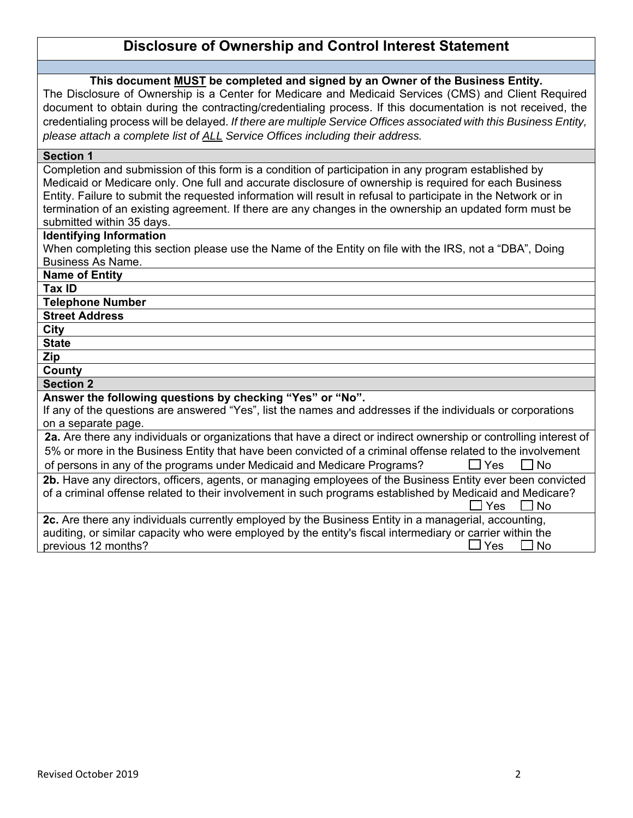### **This document MUST be completed and signed by an Owner of the Business Entity.**

The Disclosure of Ownership is a Center for Medicare and Medicaid Services (CMS) and Client Required document to obtain during the contracting/credentialing process. If this documentation is not received, the credentialing process will be delayed. *If there are multiple Service Offices associated with this Business Entity, please attach a complete list of ALL Service Offices including their address.*

#### **Section 1**

Completion and submission of this form is a condition of participation in any program established by Medicaid or Medicare only. One full and accurate disclosure of ownership is required for each Business Entity. Failure to submit the requested information will result in refusal to participate in the Network or in termination of an existing agreement. If there are any changes in the ownership an updated form must be submitted within 35 days.

#### **Identifying Information**

When completing this section please use the Name of the Entity on file with the IRS, not a "DBA", Doing Business As Name.

| <b>Name of Entity</b>                                                                                              |  |  |  |
|--------------------------------------------------------------------------------------------------------------------|--|--|--|
| Tax ID                                                                                                             |  |  |  |
| <b>Telephone Number</b>                                                                                            |  |  |  |
| <b>Street Address</b>                                                                                              |  |  |  |
| City                                                                                                               |  |  |  |
| <b>State</b>                                                                                                       |  |  |  |
| Zip                                                                                                                |  |  |  |
| County                                                                                                             |  |  |  |
| <b>Section 2</b>                                                                                                   |  |  |  |
| Answer the following questions by checking "Yes" or "No".                                                          |  |  |  |
| If any of the questions are answered "Yes", list the names and addresses if the individuals or corporations        |  |  |  |
| on a separate page.                                                                                                |  |  |  |
| 2a. Are there any individuals or organizations that have a direct or indirect ownership or controlling interest of |  |  |  |
| 5% or more in the Business Entity that have been convicted of a criminal offense related to the involvement        |  |  |  |
| of persons in any of the programs under Medicaid and Medicare Programs?<br>$\Box$ Yes<br>$\Box$ No                 |  |  |  |
| 2b. Have any directors, officers, agents, or managing employees of the Business Entity ever been convicted         |  |  |  |
| of a criminal offense related to their involvement in such programs established by Medicaid and Medicare?          |  |  |  |
| Yes<br>l No                                                                                                        |  |  |  |
| 2c. Are there any individuals currently employed by the Business Entity in a managerial, accounting,               |  |  |  |
| auditing, or similar capacity who were employed by the entity's fiscal intermediary or carrier within the          |  |  |  |

previous 12 months?  $\Box$  Yes  $\Box$  No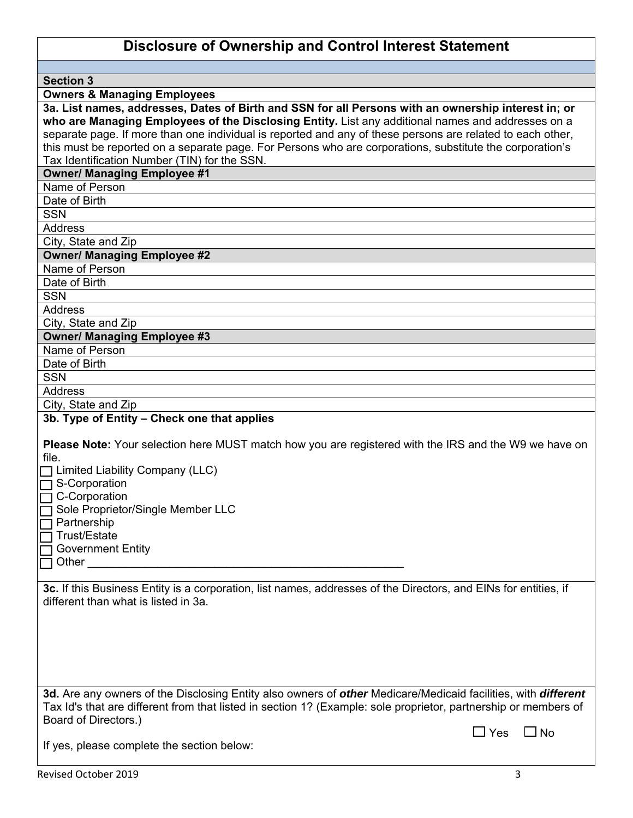**Section 3** 

**Owners & Managing Employees** 

| 3a. List names, addresses, Dates of Birth and SSN for all Persons with an ownership interest in; or        |
|------------------------------------------------------------------------------------------------------------|
| who are Managing Employees of the Disclosing Entity. List any additional names and addresses on a          |
| separate page. If more than one individual is reported and any of these persons are related to each other, |
| this must be reported on a separate page. For Persons who are corporations, substitute the corporation's   |
| Tax Identification Number (TIN) for the SSN.                                                               |
| $\sim$ $\sim$ $\sim$ $\sim$ $\sim$                                                                         |

#### **Owner/ Managing Employee #1**

Name of Person

Date of Birth

SSN

Address

City, State and Zip

## **Owner/ Managing Employee #2**

Name of Person

Date of Birth

**SSN** 

Address

City, State and Zip

#### **Owner/ Managing Employee #3**

Name of Person

Date of Birth

**SSN** 

**Address** 

City, State and Zip

#### **3b. Type of Entity – Check one that applies**

**Please Note:** Your selection here MUST match how you are registered with the IRS and the W9 we have on file.

 $\Box$  Limited Liability Company (LLC)

 $\Box$  S-Corporation

□ C-Corporation

 $\overline{\Box}$  Sole Proprietor/Single Member LLC

 $\overline{\mathsf{a}}$  Partnership

 $\overline{\mathsf{T}}$  Trust/Estate

 $\Box$  Government Entity

 $\Box$  Other

**3c.** If this Business Entity is a corporation, list names, addresses of the Directors, and EINs for entities, if different than what is listed in 3a.

**3d.** Are any owners of the Disclosing Entity also owners of *other* Medicare/Medicaid facilities, with *different*  Tax Id's that are different from that listed in section 1? (Example: sole proprietor, partnership or members of Board of Directors.)

If yes, please complete the section below:

 $\Box$  Yes  $\Box$  No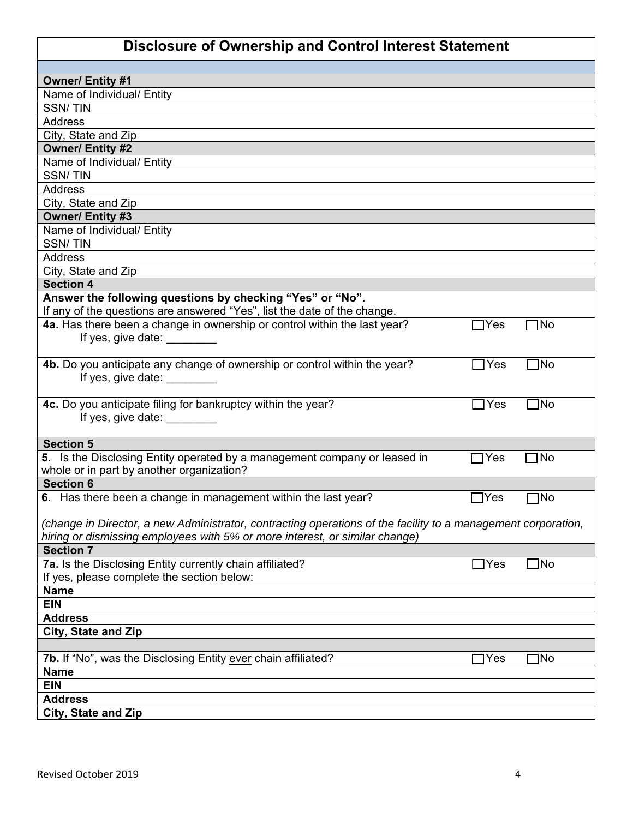| <b>Owner/ Entity #1</b>                                                                                       |                 |              |  |
|---------------------------------------------------------------------------------------------------------------|-----------------|--------------|--|
| Name of Individual/ Entity                                                                                    |                 |              |  |
| <b>SSN/TIN</b>                                                                                                |                 |              |  |
| <b>Address</b>                                                                                                |                 |              |  |
|                                                                                                               |                 |              |  |
| City, State and Zip                                                                                           |                 |              |  |
| <b>Owner/ Entity #2</b>                                                                                       |                 |              |  |
| Name of Individual/ Entity<br><b>SSN/TIN</b>                                                                  |                 |              |  |
|                                                                                                               |                 |              |  |
| <b>Address</b>                                                                                                |                 |              |  |
| City, State and Zip                                                                                           |                 |              |  |
| <b>Owner/ Entity #3</b>                                                                                       |                 |              |  |
| Name of Individual/ Entity                                                                                    |                 |              |  |
| <b>SSN/TIN</b>                                                                                                |                 |              |  |
| <b>Address</b>                                                                                                |                 |              |  |
| City, State and Zip                                                                                           |                 |              |  |
| <b>Section 4</b>                                                                                              |                 |              |  |
| Answer the following questions by checking "Yes" or "No".                                                     |                 |              |  |
| If any of the questions are answered "Yes", list the date of the change.                                      |                 |              |  |
| 4a. Has there been a change in ownership or control within the last year?                                     | $\bigcap$ Yes   | ٦No          |  |
| If yes, give date:                                                                                            |                 |              |  |
|                                                                                                               |                 |              |  |
| 4b. Do you anticipate any change of ownership or control within the year?                                     | $\sqsupset$ Yes | $\Box$ No    |  |
| If yes, give date:                                                                                            |                 |              |  |
|                                                                                                               |                 |              |  |
| 4c. Do you anticipate filing for bankruptcy within the year?                                                  | $\Box$ Yes      | $\square$ No |  |
| If yes, give date: _________                                                                                  |                 |              |  |
| <b>Section 5</b>                                                                                              |                 |              |  |
|                                                                                                               |                 |              |  |
| 5. Is the Disclosing Entity operated by a management company or leased in                                     | $\Box$ Yes      | ]No          |  |
| whole or in part by another organization?                                                                     |                 |              |  |
| <b>Section 6</b>                                                                                              |                 |              |  |
| 6. Has there been a change in management within the last year?                                                | _lYes           | 7No          |  |
|                                                                                                               |                 |              |  |
| (change in Director, a new Administrator, contracting operations of the facility to a management corporation, |                 |              |  |
| hiring or dismissing employees with 5% or more interest, or similar change)                                   |                 |              |  |
| <b>Section 7</b>                                                                                              |                 |              |  |
| 7a. Is the Disclosing Entity currently chain affiliated?                                                      | $\exists$ Yes   | $\Box$ No    |  |
| If yes, please complete the section below:                                                                    |                 |              |  |
| <b>Name</b>                                                                                                   |                 |              |  |
| <b>EIN</b>                                                                                                    |                 |              |  |
| <b>Address</b>                                                                                                |                 |              |  |
| City, State and Zip                                                                                           |                 |              |  |
|                                                                                                               |                 |              |  |
| 7b. If "No", was the Disclosing Entity ever chain affiliated?                                                 | ]Yes            | ]No          |  |
| <b>Name</b>                                                                                                   |                 |              |  |
| <b>EIN</b>                                                                                                    |                 |              |  |
| <b>Address</b>                                                                                                |                 |              |  |
| City, State and Zip                                                                                           |                 |              |  |